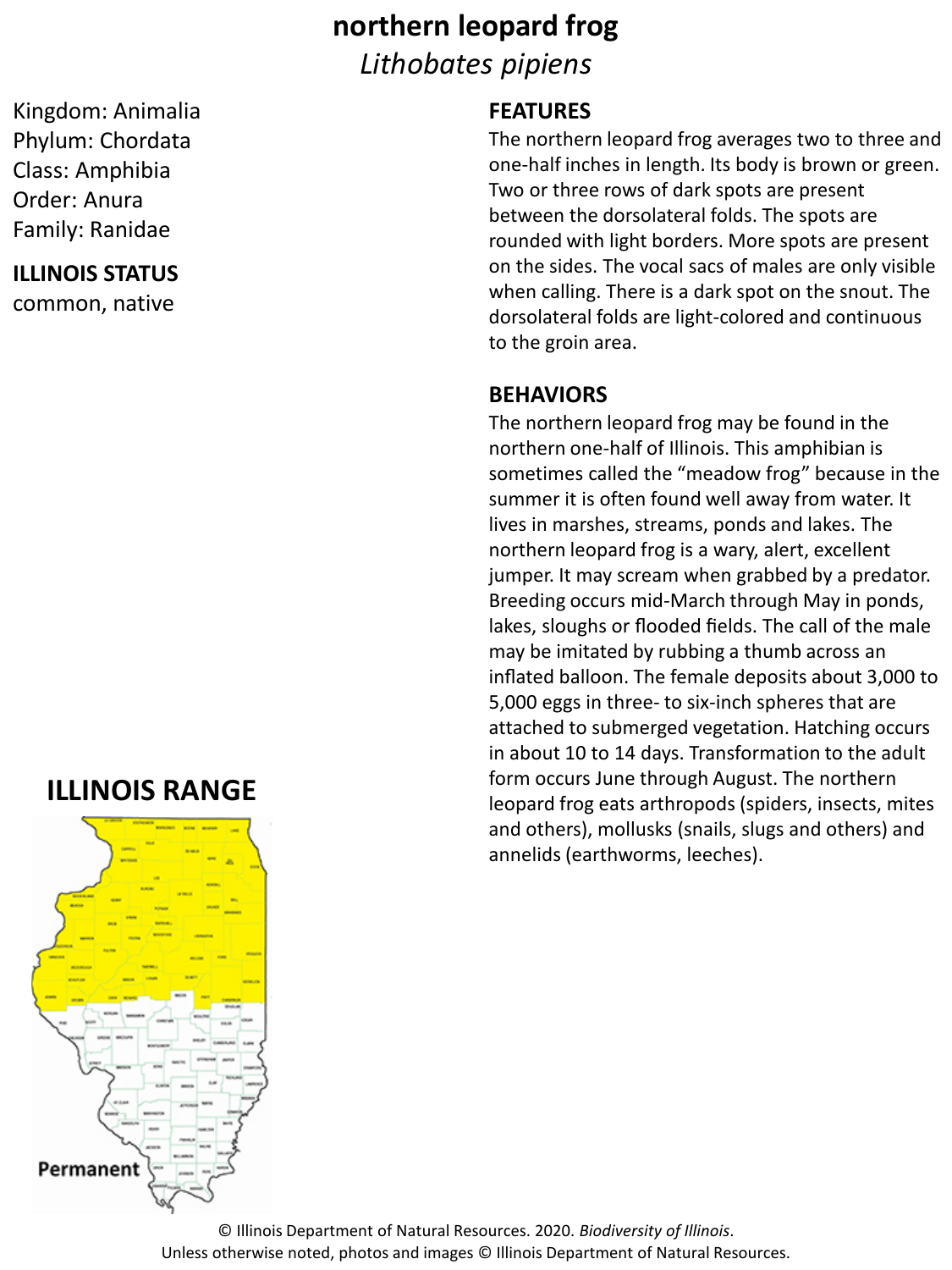# **northern leopard frog** *Lithobates pipiens*

Kingdom: Animalia Phylum: Chordata Class: Amphibia Order: Anura Family: Ranidae

#### **ILLINOIS STATUS**

common, native

## **ILLINOIS RANGE**



#### **FEATURES**

The northern leopard frog averages two to three and one-half inches in length. Its body is brown or green. Two or three rows of dark spots are present between the dorsolateral folds. The spots are rounded with light borders. More spots are present on the sides. The vocal sacs of males are only visible when calling. There is a dark spot on the snout. The dorsolateral folds are light-colored and continuous to the groin area.

#### **BEHAVIORS**

The northern leopard frog may be found in the northern one-half of Illinois. This amphibian is sometimes called the "meadow frog" because in the summer it is often found well away from water. It lives in marshes, streams, ponds and lakes. The northern leopard frog is a wary, alert, excellent jumper. It may scream when grabbed by a predator. Breeding occurs mid-March through May in ponds, lakes, sloughs or flooded fields. The call of the male may be imitated by rubbing a thumb across an inflated balloon. The female deposits about 3,000 to 5,000 eggs in three- to six-inch spheres that are attached to submerged vegetation. Hatching occurs in about 10 to 14 days. Transformation to the adult form occurs June through August. The northern leopard frog eats arthropods (spiders, insects, mites and others), mollusks (snails, slugs and others) and annelids (earthworms, leeches).

© Illinois Department of Natural Resources. 2020. *Biodiversity of Illinois*. Unless otherwise noted, photos and images © Illinois Department of Natural Resources.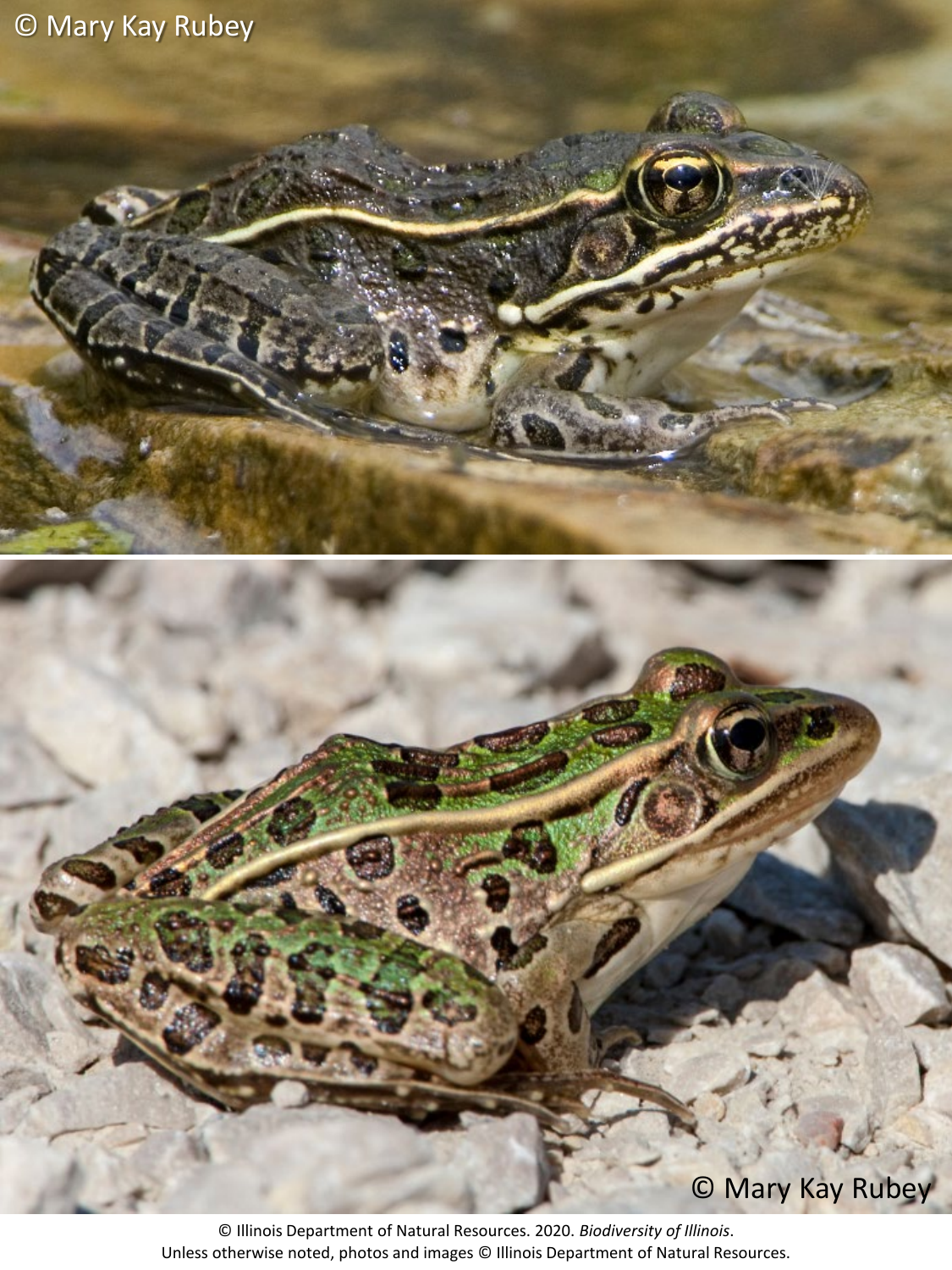# © Mary Kay Rubey



© Mary Kay Rubey